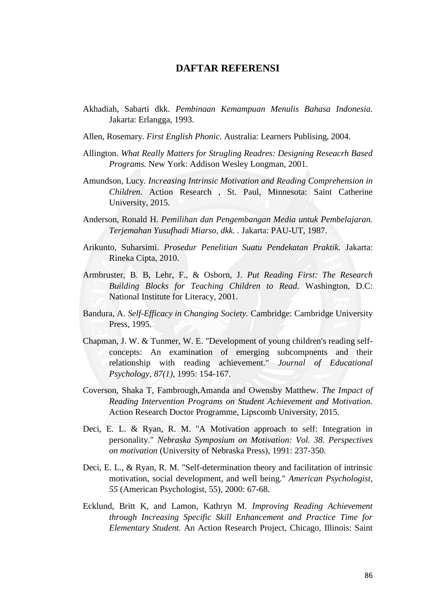## **DAFTAR REFERENSI**

- Akhadiah, Sabarti dkk. *Pembinaan Kemampuan Menulis Bahasa Indonesia.* Jakarta: Erlangga, 1993.
- Allen, Rosemary. *First English Phonic.* Australia: Learners Publising, 2004.
- Allington. *What Really Matters for Strugling Readres: Designing Reseacrh Based Programs.* New York: Addison Wesley Longman, 2001.
- Amundson, Lucy. *Increasing Intrinsic Motivation and Reading Comprehension in Children.* Action Research , St. Paul, Minnesota: Saint Catherine University, 2015.
- Anderson, Ronald H. *Pemilihan dan Pengembangan Media untuk Pembelajaran. Terjemahan Yusufhadi Miarso, dkk. .* Jakarta: PAU-UT, 1987.
- Arikunto, Suharsimi. *Prosedur Penelitian Suatu Pendekatan Praktik.* Jakarta: Rineka Cipta, 2010.
- Armbruster, B. B, Lehr, F., & Osborn, J. *Put Reading First: The Research Building Blocks for Teaching Children to Read.* Washington, D.C: National Institute for Literacy, 2001.
- Bandura, A. *Self-Efficacy in Changing Society.* Cambridge: Cambridge University Press, 1995.
- Chapman, J. W. & Tunmer, W. E. "Development of young children's reading selfconcepts: An examination of emerging subcompnents and their relationship with reading achievement." *Journal of Educational Psychology, 87(1)*, 1995: 154-167.
- Coverson, Shaka T, Fambrough,Amanda and Owensby Matthew. *The Impact of Reading Intervention Programs on Student Achievement and Motivation.* Action Research Doctor Programme, Lipscomb University, 2015.
- Deci, E. L. & Ryan, R. M. "A Motivation approach to self: Integration in personality." *Nebraska Symposium on Motivation: Vol. 38. Perspectives on motivation* (University of Nebraska Press), 1991: 237-350.
- Deci, E. L., & Ryan, R. M. "Self-determination theory and facilitation of intrinsic motivation, social development, and well being." *American Psychologist, 55* (American Psychologist, 55), 2000: 67-68.
- Ecklund, Britt K, and Lamon, Kathryn M. *Improving Reading Achievement through Increasing Specific Skill Enhancement and Practice Time for Elementary Student.* An Action Research Project, Chicago, Illinois: Saint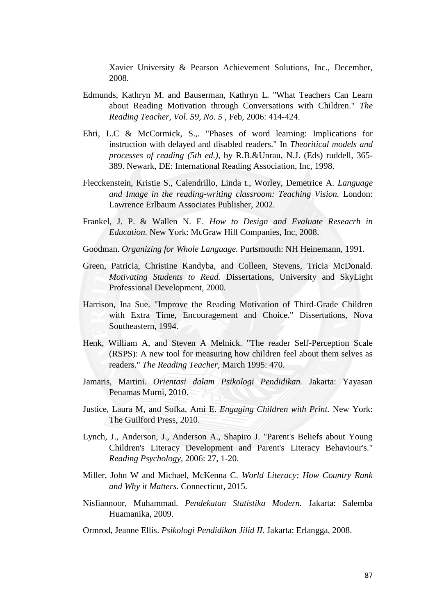Xavier University & Pearson Achievement Solutions, Inc., December, 2008.

- Edmunds, Kathryn M. and Bauserman, Kathryn L. "What Teachers Can Learn about Reading Motivation through Conversations with Children." *The Reading Teacher, Vol. 59, No. 5* , Feb, 2006: 414-424.
- Ehri, L.C & McCormick, S.,. "Phases of word learning: Implications for instruction with delayed and disabled readers." In *Theoritical models and processes of reading (5th ed.)*, by R.B.&Unrau, N.J. (Eds) ruddell, 365- 389. Newark, DE: International Reading Association, Inc, 1998.
- Flecckenstein, Kristie S., Calendrillo, Linda t., Worley, Demetrice A. *Language and Image in the reading-writing classroom: Teaching Vision.* London: Lawrence Erlbaum Associates Publisher, 2002.
- Frankel, J. P. & Wallen N. E. *How to Design and Evaluate Reseacrh in Education.* New York: McGraw Hill Companies, Inc, 2008.
- Goodman. *Organizing for Whole Language.* Purtsmouth: NH Heinemann, 1991.
- Green, Patricia, Christine Kandyba, and Colleen, Stevens, Tricia McDonald. *Motivating Students to Read.* Dissertations, University and SkyLight Professional Development, 2000.
- Harrison, Ina Sue. "Improve the Reading Motivation of Third-Grade Children with Extra Time, Encouragement and Choice." Dissertations, Nova Southeastern, 1994.
- Henk, William A, and Steven A Melnick. "The reader Self-Perception Scale (RSPS): A new tool for measuring how children feel about them selves as readers." *The Reading Teacher*, March 1995: 470.
- Jamaris, Martini. *Orientasi dalam Psikologi Pendidikan.* Jakarta: Yayasan Penamas Murni, 2010.
- Justice, Laura M, and Sofka, Ami E. *Engaging Children with Print.* New York: The Guilford Press, 2010.
- Lynch, J., Anderson, J., Anderson A., Shapiro J. "Parent's Beliefs about Young Children's Literacy Development and Parent's Literacy Behaviour's." *Reading Psychology*, 2006: 27, 1-20.
- Miller, John W and Michael, McKenna C. *World Literacy: How Country Rank and Why it Matters.* Connecticut, 2015.
- Nisfiannoor, Muhammad. *Pendekatan Statistika Modern.* Jakarta: Salemba Huamanika, 2009.

Ormrod, Jeanne Ellis. *Psikologi Pendidikan Jilid II.* Jakarta: Erlangga, 2008.